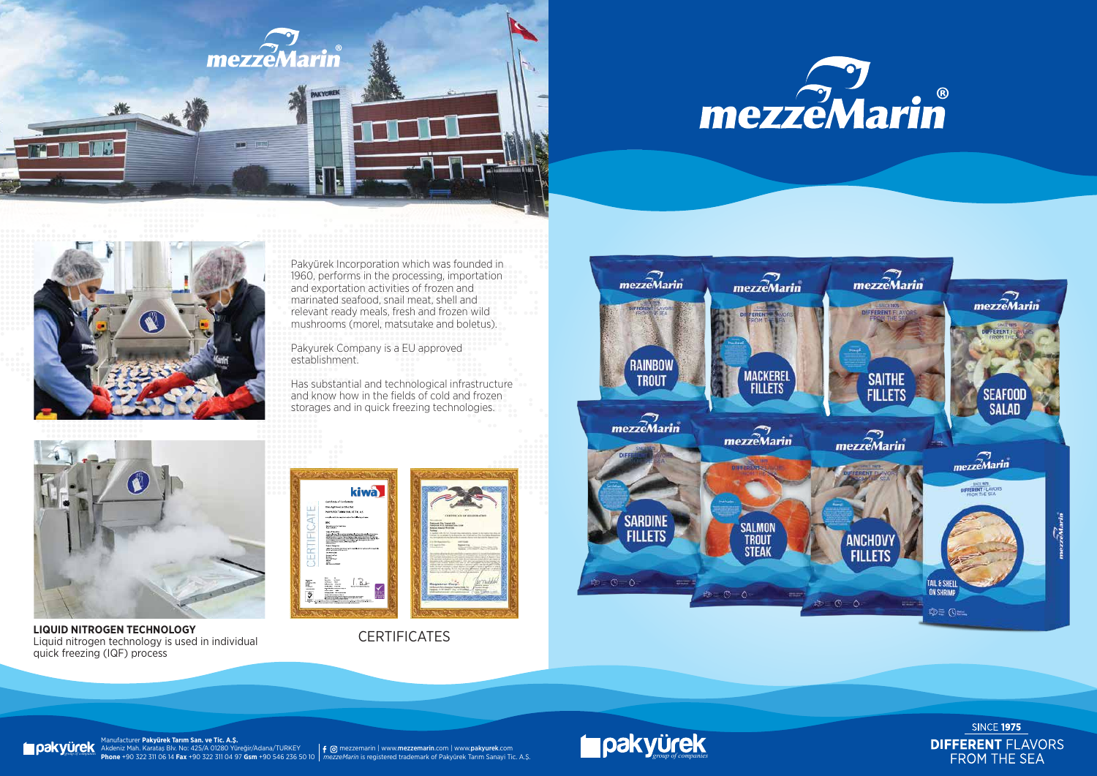





Pakyürek Incorporation which was founded in 1960, performs in the processing, importation and exportation activities of frozen and marinated seafood, snail meat, shell and relevant ready meals, fresh and frozen wild mushrooms (morel, matsutake and boletus).

Pakyurek Company is a EU approved establishment.

Has substantial and technological infrastructure and know how in the fields of cold and frozen storages and in quick freezing technologies.



**LIQUID NITROGEN TECHNOLOGY** Liquid nitrogen technology is used in individual quick freezing (IQF) process



**CERTIFICATES** 



Manufacturer **Pakyürek Tarım San. ve Tic. A.Ş.** Akdeniz Mah. Karataş Blv. No: 425/A 01280 Yüreğir/Adana/TURKEY **Phone** +90 322 311 06 14 **Fax** +90 322 311 04 97 **Gsm** +90 546 236 50 10

**MICH Alteniz Mah. Karatas Blv. No: 425/A 01280 Yüreğir/Adana/TURKEY | f @ mezzemarin | www.mezzemarin.com | www.pakyurek.com | www.pakyurek.com | www.pakyurek.com | www.pakyurek.com | www.pakyurek.com | www.pakyurek.com |** 



**SINCE 1975 DIFFERENT FLAVORS** FROM THE SEA